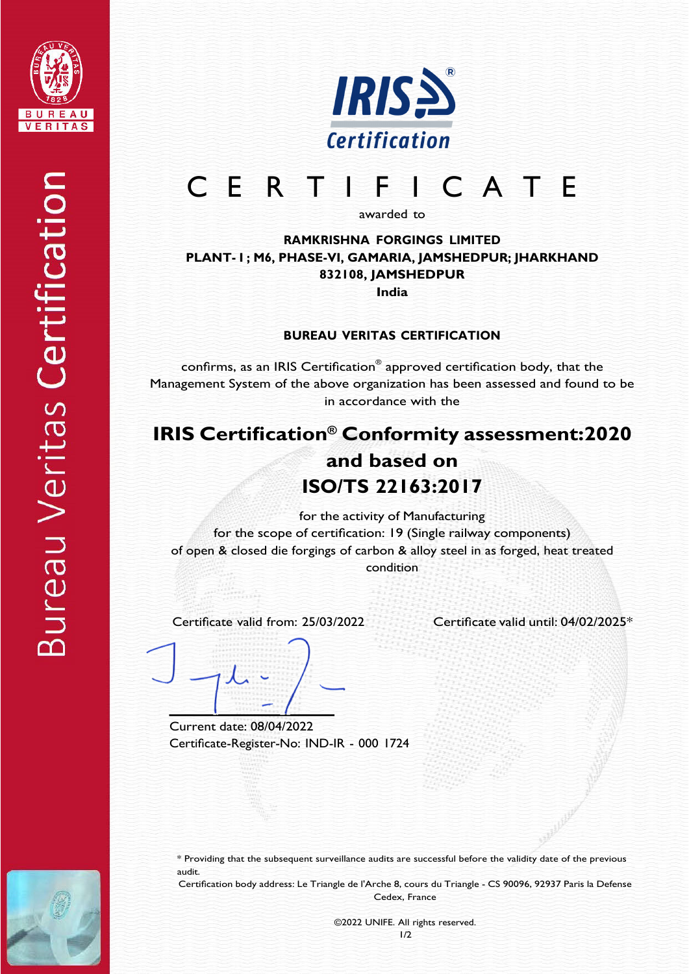



# C E R T I F I C A T E

awarded to

**RAMKRISHNA FORGINGS LIMITED PLANT- I ; M6, PHASE-VI, GAMARIA, JAMSHEDPUR; JHARKHAND 832108, JAMSHEDPUR India**

#### **BUREAU VERITAS CERTIFICATION**

confirms, as an IRIS Certification® approved certification body, that the Management System of the above organization has been assessed and found to be in accordance with the

## **IRIS Certification® Conformity assessment:2020 and based on ISO/TS 22163:2017**

for the activity of Manufacturing for the scope of certification: 19 (Single railway components) of open & closed die forgings of carbon & alloy steel in as forged, heat treated condition

Certificate valid from: 25/03/2022 Certificate valid until: 04/02/2025\*

Current date: 08/04/2022 Certificate-Register-No: IND-IR - 000 1724

\* Providing that the subsequent surveillance audits are successful before the validity date of the previous audit.

Certification body address: Le Triangle de l'Arche 8, cours du Triangle - CS 90096, 92937 Paris la Defense Cedex, France

> ©2022 UNIFE. All rights reserved. 1/2